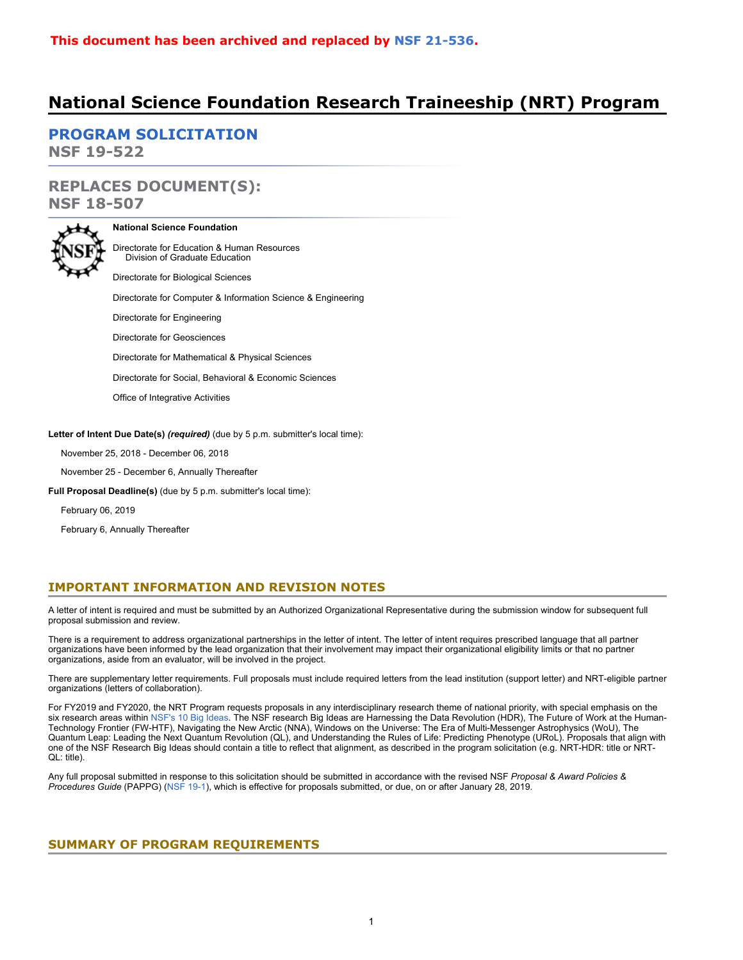# **National Science Foundation Research Traineeship (NRT) Program**

**[PROGRAM SOLICITATION](#page-3-0) NSF 19-522**

**REPLACES DOCUMENT(S): NSF 18-507**



### **National Science Foundation**

Directorate for Education & Human Resources Division of Graduate Education

Directorate for Biological Sciences

Directorate for Computer & Information Science & Engineering

Directorate for Engineering

Directorate for Geosciences

Directorate for Mathematical & Physical Sciences

Directorate for Social, Behavioral & Economic Sciences

Office of Integrative Activities

**Letter of Intent Due Date(s)** *(required)* (due by 5 p.m. submitter's local time):

November 25, 2018 - December 06, 2018

November 25 - December 6, Annually Thereafter

**Full Proposal Deadline(s)** (due by 5 p.m. submitter's local time):

February 06, 2019

February 6, Annually Thereafter

## **IMPORTANT INFORMATION AND REVISION NOTES**

A letter of intent is required and must be submitted by an Authorized Organizational Representative during the submission window for subsequent full proposal submission and review.

There is a requirement to address organizational partnerships in the letter of intent. The letter of intent requires prescribed language that all partner organizations have been informed by the lead organization that their involvement may impact their organizational eligibility limits or that no partner organizations, aside from an evaluator, will be involved in the project.

There are supplementary letter requirements. Full proposals must include required letters from the lead institution (support letter) and NRT-eligible partner organizations (letters of collaboration).

For FY2019 and FY2020, the NRT Program requests proposals in any interdisciplinary research theme of national priority, with special emphasis on the six research areas within [NSF's 10 Big Ideas](https://www.nsf.gov/news/special_reports/big_ideas/). The NSF research Big Ideas are Harnessing the Data Revolution (HDR), The Future of Work at the Human-Technology Frontier (FW-HTF), Navigating the New Arctic (NNA), Windows on the Universe: The Era of Multi-Messenger Astrophysics (WoU), The Quantum Leap: Leading the Next Quantum Revolution (QL), and Understanding the Rules of Life: Predicting Phenotype (URoL). Proposals that align with one of the NSF Research Big Ideas should contain a title to reflect that alignment, as described in the program solicitation (e.g. NRT-HDR: title or NRT-QL: title).

Any full proposal submitted in response to this solicitation should be submitted in accordance with the revised NSF *Proposal & Award Policies & Procedures Guide* (PAPPG) [\(NSF 19-1](https://www.nsf.gov/publications/pub_summ.jsp?ods_key=nsf19001)), which is effective for proposals submitted, or due, on or after January 28, 2019.

## <span id="page-0-0"></span>**SUMMARY OF PROGRAM REQUIREMENTS**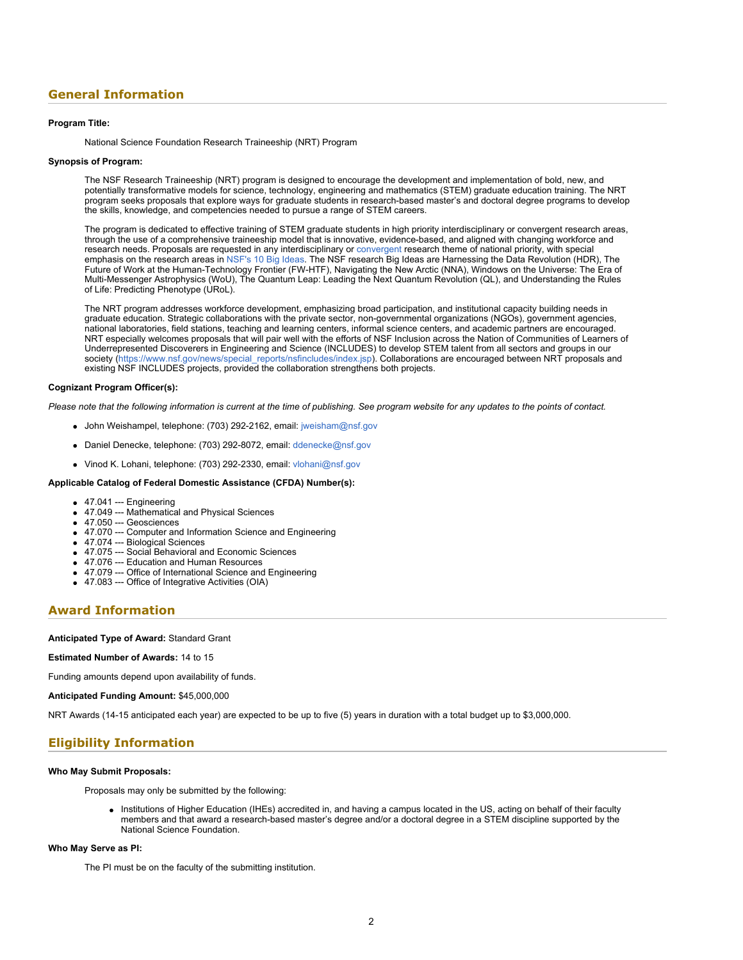## **General Information**

### **Program Title:**

National Science Foundation Research Traineeship (NRT) Program

#### **Synopsis of Program:**

The NSF Research Traineeship (NRT) program is designed to encourage the development and implementation of bold, new, and potentially transformative models for science, technology, engineering and mathematics (STEM) graduate education training. The NRT program seeks proposals that explore ways for graduate students in research-based master's and doctoral degree programs to develop the skills, knowledge, and competencies needed to pursue a range of STEM careers.

The program is dedicated to effective training of STEM graduate students in high priority interdisciplinary or convergent research areas, through the use of a comprehensive traineeship model that is innovative, evidence-based, and aligned with changing workforce and research needs. Proposals are requested in any interdisciplinary or [convergent](https://www.nsf.gov/od/oia/convergence/index.jsp) research theme of national priority, with special emphasis on the research areas in [NSF's 10 Big Ideas.](https://www.nsf.gov/news/special_reports/big_ideas/) The NSF research Big Ideas are Harnessing the Data Revolution (HDR), The Future of Work at the Human-Technology Frontier (FW-HTF), Navigating the New Arctic (NNA), Windows on the Universe: The Era of Multi-Messenger Astrophysics (WoU), The Quantum Leap: Leading the Next Quantum Revolution (QL), and Understanding the Rules of Life: Predicting Phenotype (URoL).

The NRT program addresses workforce development, emphasizing broad participation, and institutional capacity building needs in graduate education. Strategic collaborations with the private sector, non-governmental organizations (NGOs), government agencies, national laboratories, field stations, teaching and learning centers, informal science centers, and academic partners are encouraged. NRT especially welcomes proposals that will pair well with the efforts of NSF Inclusion across the Nation of Communities of Learners of Underrepresented Discoverers in Engineering and Science (INCLUDES) to develop STEM talent from all sectors and groups in our society ([https://www.nsf.gov/news/special\\_reports/nsfincludes/index.jsp\)](https://www.nsf.gov/news/special_reports/nsfincludes/index.jsp). Collaborations are encouraged between NRT proposals and existing NSF INCLUDES projects, provided the collaboration strengthens both projects.

### **Cognizant Program Officer(s):**

*Please note that the following information is current at the time of publishing. See program website for any updates to the points of contact.*

- John Weishampel, telephone: (703) 292-2162, email: [jweisham@nsf.gov](mailto:jweisham@nsf.gov)
- Daniel Denecke, telephone: (703) 292-8072, email: [ddenecke@nsf.gov](mailto:ddenecke@nsf.gov)
- Vinod K. Lohani, telephone: (703) 292-2330, email: [vlohani@nsf.gov](mailto:vlohani@nsf.gov)

### **Applicable Catalog of Federal Domestic Assistance (CFDA) Number(s):**

- $\bullet$  47.041 --- Engineering
- 47.049 --- Mathematical and Physical Sciences
- 47.050 --- Geosciences
- 47.070 --- Computer and Information Science and Engineering
- 47.074 --- Biological Sciences
- 47.075 --- Social Behavioral and Economic Sciences
- 47.076 --- Education and Human Resources
- 47.079 --- Office of International Science and Engineering
- 47.083 --- Office of Integrative Activities (OIA)

### **Award Information**

**Anticipated Type of Award:** Standard Grant

### **Estimated Number of Awards:** 14 to 15

Funding amounts depend upon availability of funds.

**Anticipated Funding Amount:** \$45,000,000

NRT Awards (14-15 anticipated each year) are expected to be up to five (5) years in duration with a total budget up to \$3,000,000.

### **Eligibility Information**

### **Who May Submit Proposals:**

Proposals may only be submitted by the following:

• Institutions of Higher Education (IHEs) accredited in, and having a campus located in the US, acting on behalf of their faculty members and that award a research-based master's degree and/or a doctoral degree in a STEM discipline supported by the National Science Foundation.

### **Who May Serve as PI:**

The PI must be on the faculty of the submitting institution.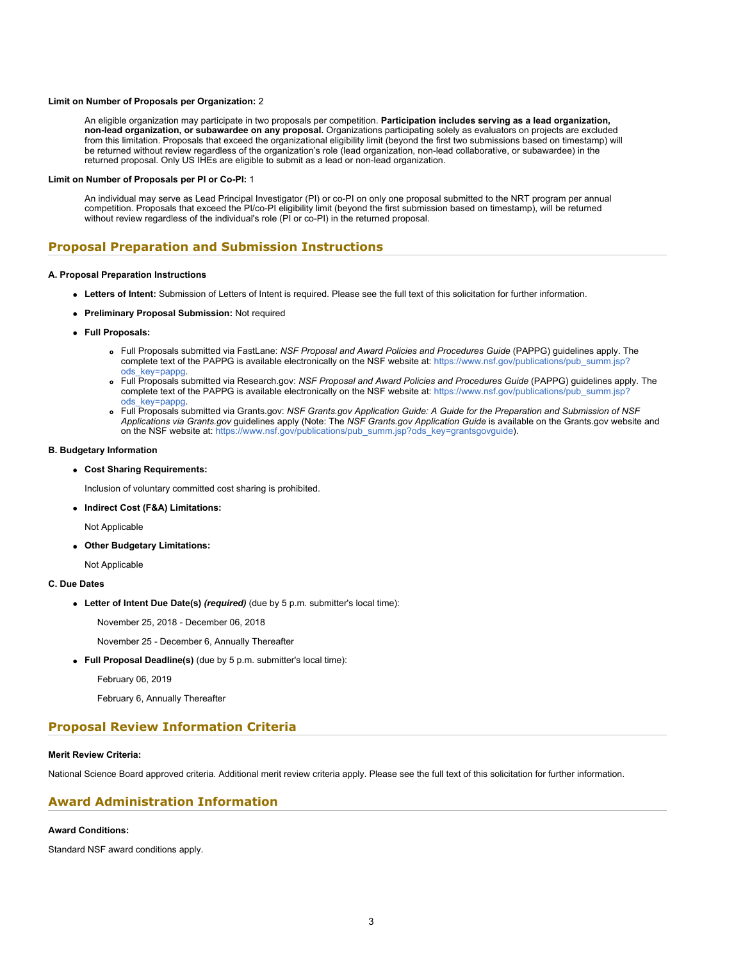#### **Limit on Number of Proposals per Organization:** 2

An eligible organization may participate in two proposals per competition. **Participation includes serving as a lead organization, non-lead organization, or subawardee on any proposal.** Organizations participating solely as evaluators on projects are excluded from this limitation. Proposals that exceed the organizational eligibility limit (beyond the first two submissions based on timestamp) will be returned without review regardless of the organization's role (lead organization, non-lead collaborative, or subawardee) in the returned proposal. Only US IHEs are eligible to submit as a lead or non-lead organization.

#### **Limit on Number of Proposals per PI or Co-PI:** 1

An individual may serve as Lead Principal Investigator (PI) or co-PI on only one proposal submitted to the NRT program per annual competition. Proposals that exceed the PI/co-PI eligibility limit (beyond the first submission based on timestamp), will be returned without review regardless of the individual's role (PI or co-PI) in the returned proposal.

## **Proposal Preparation and Submission Instructions**

### **A. Proposal Preparation Instructions**

- **Letters of Intent:** Submission of Letters of Intent is required. Please see the full text of this solicitation for further information.
- **Preliminary Proposal Submission:** Not required
- **Full Proposals:**
	- Full Proposals submitted via FastLane: *NSF Proposal and Award Policies and Procedures Guide* (PAPPG) guidelines apply. The complete text of the PAPPG is available electronically on the NSF website at: [https://www.nsf.gov/publications/pub\\_summ.jsp?](https://www.nsf.gov/publications/pub_summ.jsp?ods_key=pappg) [ods\\_key=pappg.](https://www.nsf.gov/publications/pub_summ.jsp?ods_key=pappg)
	- Full Proposals submitted via Research.gov: *NSF Proposal and Award Policies and Procedures Guide* (PAPPG) guidelines apply. The complete text of the PAPPG is available electronically on the NSF website at: [https://www.nsf.gov/publications/pub\\_summ.jsp?](https://www.nsf.gov/publications/pub_summ.jsp?ods_key=pappg) [ods\\_key=pappg.](https://www.nsf.gov/publications/pub_summ.jsp?ods_key=pappg)
	- Full Proposals submitted via Grants.gov: *NSF Grants.gov Application Guide: A Guide for the Preparation and Submission of NSF Applications via Grants.gov* guidelines apply (Note: The *NSF Grants.gov Application Guide* is available on the Grants.gov website and on the NSF website at: [https://www.nsf.gov/publications/pub\\_summ.jsp?ods\\_key=grantsgovguide](https://www.nsf.gov/publications/pub_summ.jsp?ods_key=grantsgovguide)).

### **B. Budgetary Information**

**Cost Sharing Requirements:**

Inclusion of voluntary committed cost sharing is prohibited.

**Indirect Cost (F&A) Limitations:**

Not Applicable

**Other Budgetary Limitations:**

Not Applicable

### **C. Due Dates**

**Letter of Intent Due Date(s)** *(required)* (due by 5 p.m. submitter's local time):

November 25, 2018 - December 06, 2018

November 25 - December 6, Annually Thereafter

**Full Proposal Deadline(s)** (due by 5 p.m. submitter's local time):

February 06, 2019

February 6, Annually Thereafter

## **Proposal Review Information Criteria**

### **Merit Review Criteria:**

National Science Board approved criteria. Additional merit review criteria apply. Please see the full text of this solicitation for further information.

### **Award Administration Information**

### **Award Conditions:**

Standard NSF award conditions apply.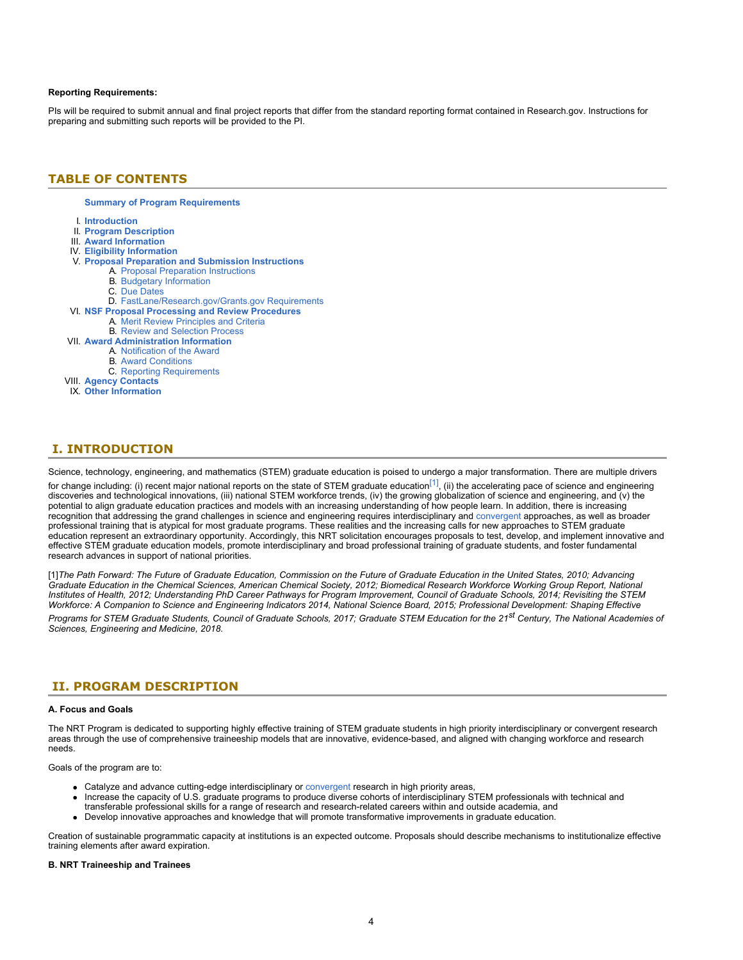### **Reporting Requirements:**

PIs will be required to submit annual and final project reports that differ from the standard reporting format contained in Research.gov. Instructions for preparing and submitting such reports will be provided to the PI.

### <span id="page-3-0"></span>**TABLE OF CONTENTS**

### **[Summary of Program Requirements](#page-0-0)**

- I. **[Introduction](#page-3-1)**
- II. **[Program Description](#page-3-2)**
- III. **[Award Information](#page-4-0)**
- IV. **[Eligibility Information](#page-4-1)**
- V. **[Proposal Preparation and Submission Instructions](#page-5-0)**
	- A. [Proposal Preparation Instructions](#page-5-0)
		- B. [Budgetary Information](#page-9-0)
			- C. [Due Dates](#page-9-1)
- D. [FastLane/Research.gov/Grants.gov Requirements](#page-9-2)
- VI. **[NSF Proposal Processing and Review Procedures](#page-10-0)**
	- A. [Merit Review Principles and Criteria](#page-10-1)
	- B. [Review and Selection Process](#page-11-0)
- VII. **[Award Administration Information](#page-12-0)**
	- A. [Notification of the Award](#page-12-1)
		- B. [Award Conditions](#page-12-2)
		- C. [Reporting Requirements](#page-12-3)
- VIII. **[Agency Contacts](#page-12-4)** IX. **[Other Information](#page-13-0)**
	-

## <span id="page-3-1"></span>**I. INTRODUCTION**

Science, technology, engineering, and mathematics (STEM) graduate education is poised to undergo a major transformation. There are multiple drivers for change including: (i) recent major national reports on the state of STEM graduate education<sup>[1]</sup>, (ii) the accelerating pace of science and engineering discoveries and technological innovations, (iii) national STEM workforce trends, (iv) the growing globalization of science and engineering, and (v) the potential to align graduate education practices and models with an increasing understanding of how people learn. In addition, there is increasing recognition that addressing the grand challenges in science and engineering requires interdisciplinary and [convergent](https://www.nsf.gov/od/oia/convergence/index.jsp) approaches, as well as broader professional training that is atypical for most graduate programs. These realities and the increasing calls for new approaches to STEM graduate education represent an extraordinary opportunity. Accordingly, this NRT solicitation encourages proposals to test, develop, and implement innovative and effective STEM graduate education models, promote interdisciplinary and broad professional training of graduate students, and foster fundamental research advances in support of national priorities.

<span id="page-3-3"></span>[1]*The Path Forward: The Future of Graduate Education, Commission on the Future of Graduate Education in the United States, 2010; Advancing Graduate Education in the Chemical Sciences, American Chemical Society, 2012; Biomedical Research Workforce Working Group Report, National Institutes of Health, 2012; Understanding PhD Career Pathways for Program Improvement, Council of Graduate Schools, 2014; Revisiting the STEM Workforce: A Companion to Science and Engineering Indicators 2014, National Science Board, 2015; Professional Development: Shaping Effective*

*Programs for STEM Graduate Students, Council of Graduate Schools, 2017; Graduate STEM Education for the 21st Century, The National Academies of Sciences, Engineering and Medicine, 2018.*

### <span id="page-3-2"></span>**II. PROGRAM DESCRIPTION**

#### **A. Focus and Goals**

The NRT Program is dedicated to supporting highly effective training of STEM graduate students in high priority interdisciplinary or convergent research areas through the use of comprehensive traineeship models that are innovative, evidence-based, and aligned with changing workforce and research needs.

Goals of the program are to:

- Catalyze and advance cutting-edge interdisciplinary or [convergent](https://www.nsf.gov/od/oia/convergence/index.jsp) research in high priority areas,
- Increase the capacity of U.S. graduate programs to produce diverse cohorts of interdisciplinary STEM professionals with technical and transferable professional skills for a range of research and research-related careers within and outside academia, and
- Develop innovative approaches and knowledge that will promote transformative improvements in graduate education.

Creation of sustainable programmatic capacity at institutions is an expected outcome. Proposals should describe mechanisms to institutionalize effective training elements after award expiration.

### **B. NRT Traineeship and Trainees**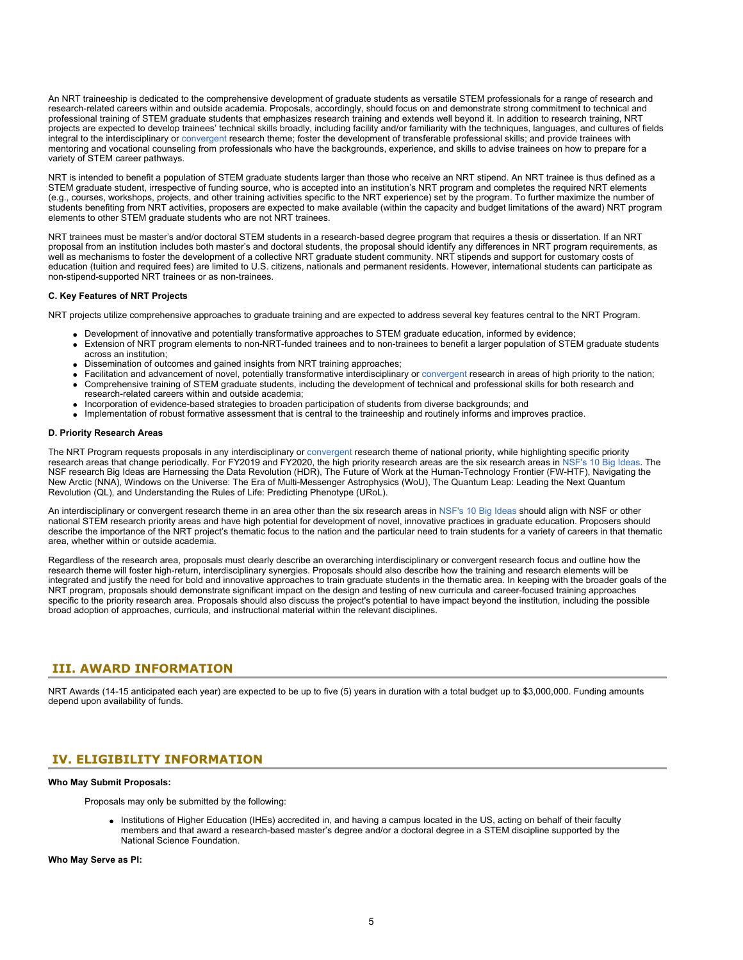An NRT traineeship is dedicated to the comprehensive development of graduate students as versatile STEM professionals for a range of research and research-related careers within and outside academia. Proposals, accordingly, should focus on and demonstrate strong commitment to technical and professional training of STEM graduate students that emphasizes research training and extends well beyond it. In addition to research training, NRT projects are expected to develop trainees' technical skills broadly, including facility and/or familiarity with the techniques, languages, and cultures of fields integral to the interdisciplinary or [convergent](https://www.nsf.gov/od/oia/convergence/index.jsp) research theme; foster the development of transferable professional skills; and provide trainees with mentoring and vocational counseling from professionals who have the backgrounds, experience, and skills to advise trainees on how to prepare for a variety of STEM career pathways.

NRT is intended to benefit a population of STEM graduate students larger than those who receive an NRT stipend. An NRT trainee is thus defined as a STEM graduate student, irrespective of funding source, who is accepted into an institution's NRT program and completes the required NRT elements (e.g., courses, workshops, projects, and other training activities specific to the NRT experience) set by the program. To further maximize the number of students benefiting from NRT activities, proposers are expected to make available (within the capacity and budget limitations of the award) NRT program elements to other STEM graduate students who are not NRT trainees.

NRT trainees must be master's and/or doctoral STEM students in a research-based degree program that requires a thesis or dissertation. If an NRT proposal from an institution includes both master's and doctoral students, the proposal should identify any differences in NRT program requirements, as well as mechanisms to foster the development of a collective NRT graduate student community. NRT stipends and support for customary costs of education (tuition and required fees) are limited to U.S. citizens, nationals and permanent residents. However, international students can participate as non-stipend-supported NRT trainees or as non-trainees.

### **C. Key Features of NRT Projects**

NRT projects utilize comprehensive approaches to graduate training and are expected to address several key features central to the NRT Program.

- Development of innovative and potentially transformative approaches to STEM graduate education, informed by evidence;
- Extension of NRT program elements to non-NRT-funded trainees and to non-trainees to benefit a larger population of STEM graduate students across an institution;
- Dissemination of outcomes and gained insights from NRT training approaches;
- Facilitation and advancement of novel, potentially transformative interdisciplinary or [convergent](https://www.nsf.gov/od/oia/convergence/index.jsp) research in areas of high priority to the nation; Comprehensive training of STEM graduate students, including the development of technical and professional skills for both research and research-related careers within and outside academia;
- Incorporation of evidence-based strategies to broaden participation of students from diverse backgrounds; and
- Implementation of robust formative assessment that is central to the traineeship and routinely informs and improves practice.

#### **D. Priority Research Areas**

The NRT Program requests proposals in any interdisciplinary or [convergent](https://www.nsf.gov/od/oia/convergence/index.jsp) research theme of national priority, while highlighting specific priority research areas that change periodically. For FY2019 and FY2020, the high priority research areas are the six research areas in [NSF's 10 Big Ideas.](https://www.nsf.gov/news/special_reports/big_ideas/) The NSF research Big Ideas are Harnessing the Data Revolution (HDR), The Future of Work at the Human-Technology Frontier (FW-HTF), Navigating the New Arctic (NNA), Windows on the Universe: The Era of Multi-Messenger Astrophysics (WoU), The Quantum Leap: Leading the Next Quantum Revolution (QL), and Understanding the Rules of Life: Predicting Phenotype (URoL).

An interdisciplinary or convergent research theme in an area other than the six research areas in [NSF's 10 Big Ideas](https://www.nsf.gov/news/special_reports/big_ideas/) should align with NSF or other national STEM research priority areas and have high potential for development of novel, innovative practices in graduate education. Proposers should describe the importance of the NRT project's thematic focus to the nation and the particular need to train students for a variety of careers in that thematic area, whether within or outside academia.

Regardless of the research area, proposals must clearly describe an overarching interdisciplinary or convergent research focus and outline how the research theme will foster high-return, interdisciplinary synergies. Proposals should also describe how the training and research elements will be integrated and justify the need for bold and innovative approaches to train graduate students in the thematic area. In keeping with the broader goals of the NRT program, proposals should demonstrate significant impact on the design and testing of new curricula and career-focused training approaches specific to the priority research area. Proposals should also discuss the project's potential to have impact beyond the institution, including the possible broad adoption of approaches, curricula, and instructional material within the relevant disciplines.

### <span id="page-4-0"></span>**III. AWARD INFORMATION**

NRT Awards (14-15 anticipated each year) are expected to be up to five (5) years in duration with a total budget up to \$3,000,000. Funding amounts depend upon availability of funds.

### <span id="page-4-1"></span>**IV. ELIGIBILITY INFORMATION**

### **Who May Submit Proposals:**

Proposals may only be submitted by the following:

• Institutions of Higher Education (IHEs) accredited in, and having a campus located in the US, acting on behalf of their faculty members and that award a research-based master's degree and/or a doctoral degree in a STEM discipline supported by the National Science Foundation.

**Who May Serve as PI:**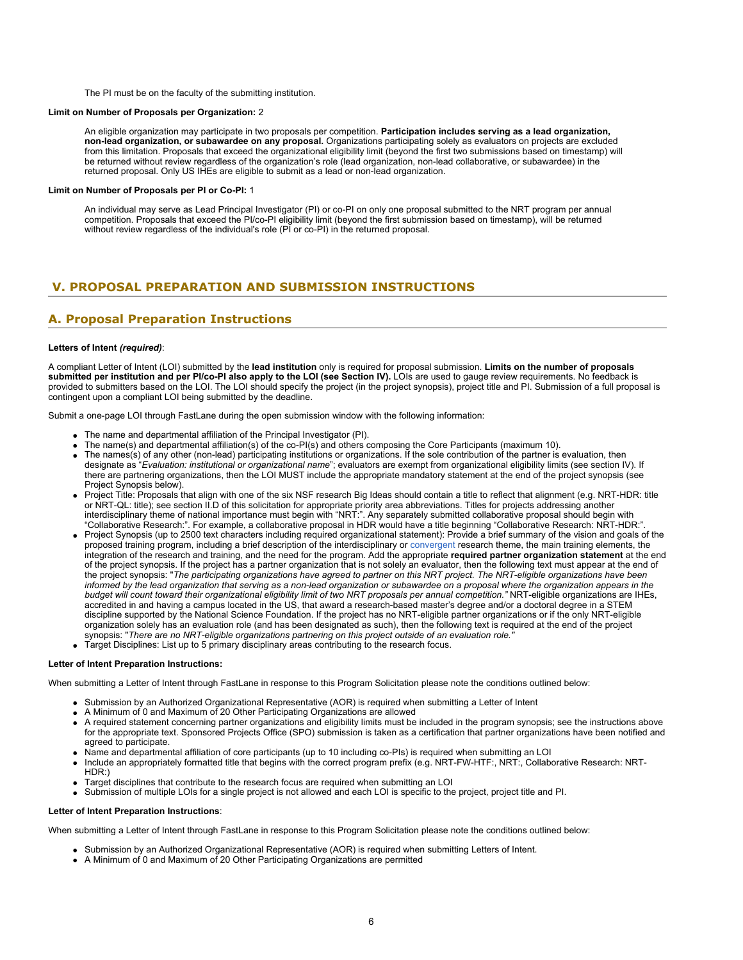The PI must be on the faculty of the submitting institution.

### **Limit on Number of Proposals per Organization:** 2

An eligible organization may participate in two proposals per competition. **Participation includes serving as a lead organization, non-lead organization, or subawardee on any proposal.** Organizations participating solely as evaluators on projects are excluded from this limitation. Proposals that exceed the organizational eligibility limit (beyond the first two submissions based on timestamp) will be returned without review regardless of the organization's role (lead organization, non-lead collaborative, or subawardee) in the returned proposal. Only US IHEs are eligible to submit as a lead or non-lead organization.

### **Limit on Number of Proposals per PI or Co-PI:** 1

An individual may serve as Lead Principal Investigator (PI) or co-PI on only one proposal submitted to the NRT program per annual competition. Proposals that exceed the PI/co-PI eligibility limit (beyond the first submission based on timestamp), will be returned without review regardless of the individual's role (PI or co-PI) in the returned proposal.

## <span id="page-5-0"></span>**V. PROPOSAL PREPARATION AND SUBMISSION INSTRUCTIONS**

## **A. Proposal Preparation Instructions**

### **Letters of Intent** *(required)*:

A compliant Letter of Intent (LOI) submitted by the **lead institution** only is required for proposal submission. **Limits on the number of proposals** submitted per institution and per PI/co-PI also apply to the LOI (see Section IV). LOIs are used to gauge review requirements. No feedback is provided to submitters based on the LOI. The LOI should specify the project (in the project synopsis), project title and PI. Submission of a full proposal is contingent upon a compliant LOI being submitted by the deadline.

Submit a one-page LOI through FastLane during the open submission window with the following information:

- The name and departmental affiliation of the Principal Investigator (PI).
- The name(s) and departmental affiliation(s) of the co-PI(s) and others composing the Core Participants (maximum 10).
- The names(s) of any other (non-lead) participating institutions or organizations. If the sole contribution of the partner is evaluation, then designate as "*Evaluation: institutional or organizational name*"; evaluators are exempt from organizational eligibility limits (see section IV). If there are partnering organizations, then the LOI MUST include the appropriate mandatory statement at the end of the project synopsis (see Project Synopsis below).
- Project Title: Proposals that align with one of the six NSF research Big Ideas should contain a title to reflect that alignment (e.g. NRT-HDR: title or NRT-QL: title); see section II.D of this solicitation for appropriate priority area abbreviations. Titles for projects addressing another interdisciplinary theme of national importance must begin with "NRT:". Any separately submitted collaborative proposal should begin with "Collaborative Research:". For example, a collaborative proposal in HDR would have a title beginning "Collaborative Research: NRT-HDR:".
- Project Synopsis (up to 2500 text characters including required organizational statement): Provide a brief summary of the vision and goals of the proposed training program, including a brief description of the interdisciplinary or [convergent](https://www.nsf.gov/od/oia/convergence/index.jsp) research theme, the main training elements, the integration of the research and training, and the need for the program. Add the appropriate **required partner organization statement** at the end of the project synopsis. If the project has a partner organization that is not solely an evaluator, then the following text must appear at the end of the project synopsis: "*The participating organizations have agreed to partner on this NRT project. The NRT-eligible organizations have been informed by the lead organization that serving as a non-lead organization or subawardee on a proposal where the organization appears in the budget will count toward their organizational eligibility limit of two NRT proposals per annual competition."* NRT-eligible organizations are IHEs, accredited in and having a campus located in the US, that award a research-based master's degree and/or a doctoral degree in a STEM discipline supported by the National Science Foundation. If the project has no NRT-eligible partner organizations or if the only NRT-eligible organization solely has an evaluation role (and has been designated as such), then the following text is required at the end of the project synopsis: "*There are no NRT-eligible organizations partnering on this project outside of an evaluation role."*
- Target Disciplines: List up to 5 primary disciplinary areas contributing to the research focus.

#### **Letter of Intent Preparation Instructions:**

When submitting a Letter of Intent through FastLane in response to this Program Solicitation please note the conditions outlined below:

- Submission by an Authorized Organizational Representative (AOR) is required when submitting a Letter of Intent
- A Minimum of 0 and Maximum of 20 Other Participating Organizations are allowed
- A required statement concerning partner organizations and eligibility limits must be included in the program synopsis; see the instructions above for the appropriate text. Sponsored Projects Office (SPO) submission is taken as a certification that partner organizations have been notified and agreed to participate.
- Name and departmental affiliation of core participants (up to 10 including co-PIs) is required when submitting an LOI
- Include an appropriately formatted title that begins with the correct program prefix (e.g. NRT-FW-HTF:, NRT:, Collaborative Research: NRT-HDR:)
- Target disciplines that contribute to the research focus are required when submitting an LOI
- Submission of multiple LOIs for a single project is not allowed and each LOI is specific to the project, project title and PI.

### **Letter of Intent Preparation Instructions**:

When submitting a Letter of Intent through FastLane in response to this Program Solicitation please note the conditions outlined below:

- Submission by an Authorized Organizational Representative (AOR) is required when submitting Letters of Intent.
- A Minimum of 0 and Maximum of 20 Other Participating Organizations are permitted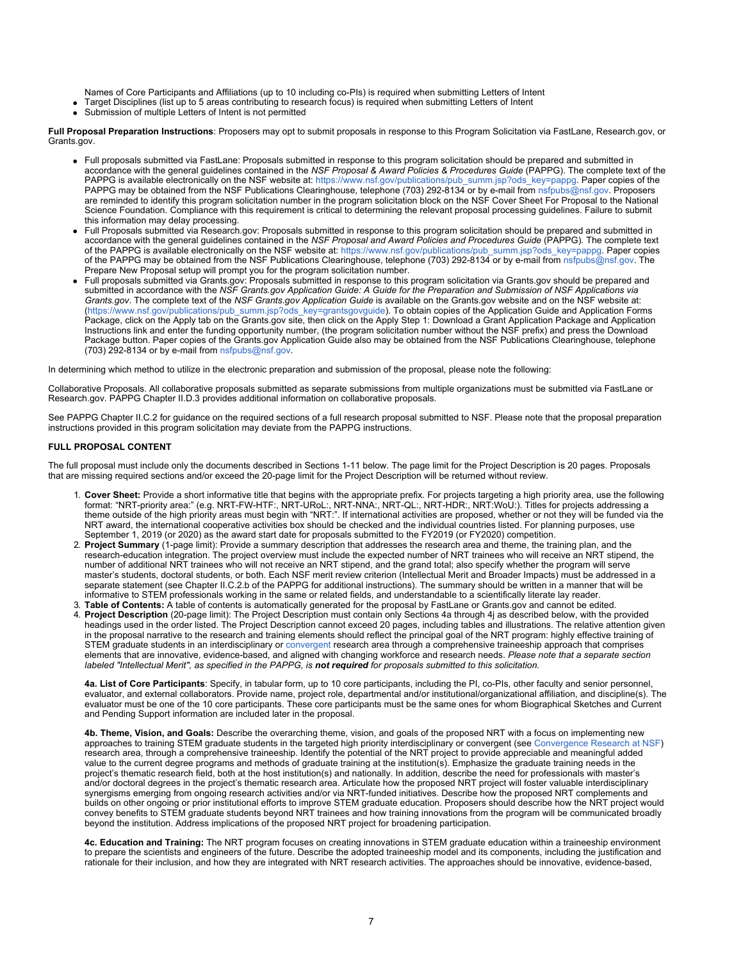Names of Core Participants and Affiliations (up to 10 including co-PIs) is required when submitting Letters of Intent

- Target Disciplines (list up to 5 areas contributing to research focus) is required when submitting Letters of Intent
- Submission of multiple Letters of Intent is not permitted

**Full Proposal Preparation Instructions**: Proposers may opt to submit proposals in response to this Program Solicitation via FastLane, Research.gov, or Grants.gov.

- Full proposals submitted via FastLane: Proposals submitted in response to this program solicitation should be prepared and submitted in accordance with the general guidelines contained in the *NSF Proposal & Award Policies & Procedures Guide* (PAPPG). The complete text of the PAPPG is available electronically on the NSF website at: [https://www.nsf.gov/publications/pub\\_summ.jsp?ods\\_key=pappg](https://www.nsf.gov/publications/pub_summ.jsp?ods_key=pappg). Paper copies of the PAPPG may be obtained from the NSF Publications Clearinghouse, telephone (703) 292-8134 or by e-mail from [nsfpubs@nsf.gov](mailto:nsfpubs@nsf.gov). Proposers are reminded to identify this program solicitation number in the program solicitation block on the NSF Cover Sheet For Proposal to the National Science Foundation. Compliance with this requirement is critical to determining the relevant proposal processing guidelines. Failure to submit this information may delay processing.
- Full Proposals submitted via Research.gov: Proposals submitted in response to this program solicitation should be prepared and submitted in accordance with the general guidelines contained in the *NSF Proposal and Award Policies and Procedures Guide* (PAPPG). The complete text of the PAPPG is available electronically on the NSF website at: [https://www.nsf.gov/publications/pub\\_summ.jsp?ods\\_key=pappg](https://www.nsf.gov/publications/pub_summ.jsp?ods_key=pappg). Paper copies of the PAPPG may be obtained from the NSF Publications Clearinghouse, telephone (703) 292-8134 or by e-mail from [nsfpubs@nsf.gov](mailto:nsfpubs@nsf.gov). The Prepare New Proposal setup will prompt you for the program solicitation number.
- Full proposals submitted via Grants.gov: Proposals submitted in response to this program solicitation via Grants.gov should be prepared and submitted in accordance with the *NSF Grants.gov Application Guide: A Guide for the Preparation and Submission of NSF Applications via Grants.gov*. The complete text of the *NSF Grants.gov Application Guide* is available on the Grants.gov website and on the NSF website at: [\(https://www.nsf.gov/publications/pub\\_summ.jsp?ods\\_key=grantsgovguide](https://www.nsf.gov/publications/pub_summ.jsp?ods_key=grantsgovguide)). To obtain copies of the Application Guide and Application Forms Package, click on the Apply tab on the Grants.gov site, then click on the Apply Step 1: Download a Grant Application Package and Application Instructions link and enter the funding opportunity number, (the program solicitation number without the NSF prefix) and press the Download Package button. Paper copies of the Grants.gov Application Guide also may be obtained from the NSF Publications Clearinghouse, telephone (703) 292-8134 or by e-mail from [nsfpubs@nsf.gov](mailto:nsfpubs@nsf.gov).

In determining which method to utilize in the electronic preparation and submission of the proposal, please note the following:

Collaborative Proposals. All collaborative proposals submitted as separate submissions from multiple organizations must be submitted via FastLane or Research.gov. PAPPG Chapter II.D.3 provides additional information on collaborative proposals.

See PAPPG Chapter II.C.2 for guidance on the required sections of a full research proposal submitted to NSF. Please note that the proposal preparation instructions provided in this program solicitation may deviate from the PAPPG instructions.

### **FULL PROPOSAL CONTENT**

The full proposal must include only the documents described in Sections 1-11 below. The page limit for the Project Description is 20 pages. Proposals that are missing required sections and/or exceed the 20-page limit for the Project Description will be returned without review.

- 1. **Cover Sheet:** Provide a short informative title that begins with the appropriate prefix. For projects targeting a high priority area, use the following format: "NRT-priority area:" (e.g. NRT-FW-HTF:, NRT-URoL:, NRT-NNA:, NRT-QL:, NRT-HDR:, NRT:WoU:). Titles for projects addressing a theme outside of the high priority areas must begin with "NRT:". If international activities are proposed, whether or not they will be funded via the NRT award, the international cooperative activities box should be checked and the individual countries listed. For planning purposes, use September 1, 2019 (or 2020) as the award start date for proposals submitted to the FY2019 (or FY2020) competition.
- 2. **Project Summary** (1-page limit): Provide a summary description that addresses the research area and theme, the training plan, and the research-education integration. The project overview must include the expected number of NRT trainees who will receive an NRT stipend, the number of additional NRT trainees who will not receive an NRT stipend, and the grand total; also specify whether the program will serve master's students, doctoral students, or both. Each NSF merit review criterion (Intellectual Merit and Broader Impacts) must be addressed in a separate statement (see Chapter II.C.2.b of the PAPPG for additional instructions). The summary should be written in a manner that will be informative to STEM professionals working in the same or related fields, and understandable to a scientifically literate lay reader.
- 3. **Table of Contents:** A table of contents is automatically generated for the proposal by FastLane or Grants.gov and cannot be edited. 4. **Project Description** (20-page limit): The Project Description must contain only Sections 4a through 4j as described below, with the provided headings used in the order listed. The Project Description cannot exceed 20 pages, including tables and illustrations. The relative attention given in the proposal narrative to the research and training elements should reflect the principal goal of the NRT program: highly effective training of STEM graduate students in an interdisciplinary or [convergent](https://www.nsf.gov/od/oia/convergence/index.jsp) research area through a comprehensive traineeship approach that comprises elements that are innovative, evidence-based, and aligned with changing workforce and research needs. *Please note that a separate section labeled "Intellectual Merit", as specified in the PAPPG, is not required for proposals submitted to this solicitation.*

**4a. List of Core Participants**: Specify, in tabular form, up to 10 core participants, including the PI, co-PIs, other faculty and senior personnel, evaluator, and external collaborators. Provide name, project role, departmental and/or institutional/organizational affiliation, and discipline(s). The evaluator must be one of the 10 core participants. These core participants must be the same ones for whom Biographical Sketches and Current and Pending Support information are included later in the proposal.

**4b. Theme, Vision, and Goals:** Describe the overarching theme, vision, and goals of the proposed NRT with a focus on implementing new approaches to training STEM graduate students in the targeted high priority interdisciplinary or convergent (see [Convergence Research at NSF](https://www.nsf.gov/od/oia/convergence/index.jsp)) research area, through a comprehensive traineeship. Identify the potential of the NRT project to provide appreciable and meaningful added value to the current degree programs and methods of graduate training at the institution(s). Emphasize the graduate training needs in the project's thematic research field, both at the host institution(s) and nationally. In addition, describe the need for professionals with master's and/or doctoral degrees in the project's thematic research area. Articulate how the proposed NRT project will foster valuable interdisciplinary synergisms emerging from ongoing research activities and/or via NRT-funded initiatives. Describe how the proposed NRT complements and builds on other ongoing or prior institutional efforts to improve STEM graduate education. Proposers should describe how the NRT project would convey benefits to STEM graduate students beyond NRT trainees and how training innovations from the program will be communicated broadly beyond the institution. Address implications of the proposed NRT project for broadening participation.

**4c. Education and Training:** The NRT program focuses on creating innovations in STEM graduate education within a traineeship environment to prepare the scientists and engineers of the future. Describe the adopted traineeship model and its components, including the justification and rationale for their inclusion, and how they are integrated with NRT research activities. The approaches should be innovative, evidence-based,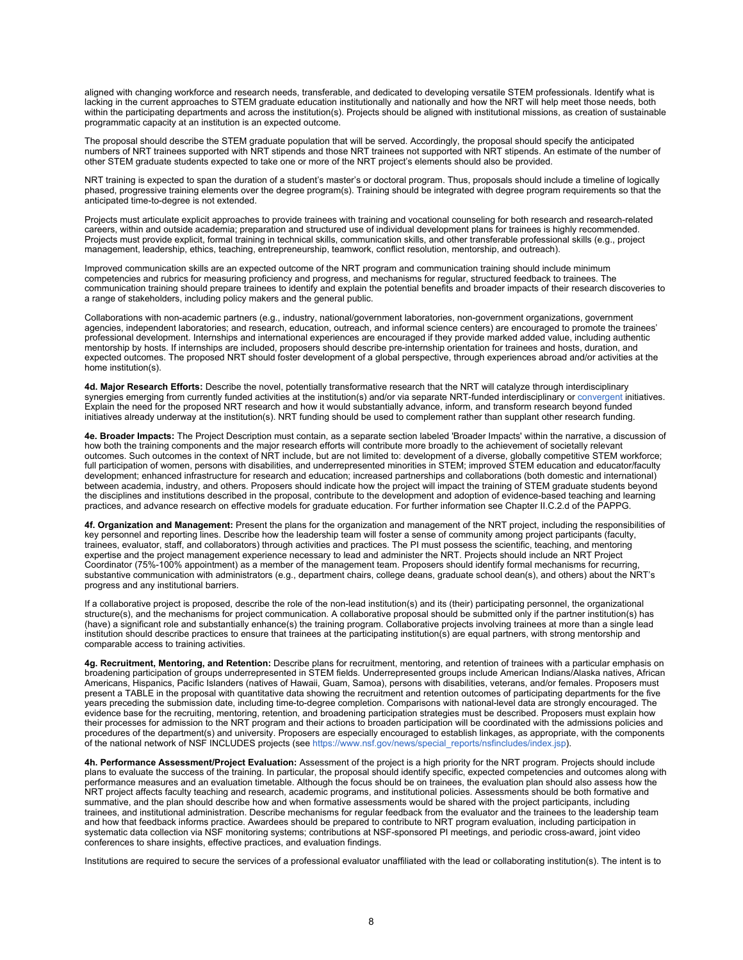aligned with changing workforce and research needs, transferable, and dedicated to developing versatile STEM professionals. Identify what is lacking in the current approaches to STEM graduate education institutionally and nationally and how the NRT will help meet those needs, both within the participating departments and across the institution(s). Projects should be aligned with institutional missions, as creation of sustainable programmatic capacity at an institution is an expected outcome.

The proposal should describe the STEM graduate population that will be served. Accordingly, the proposal should specify the anticipated numbers of NRT trainees supported with NRT stipends and those NRT trainees not supported with NRT stipends. An estimate of the number of other STEM graduate students expected to take one or more of the NRT project's elements should also be provided.

NRT training is expected to span the duration of a student's master's or doctoral program. Thus, proposals should include a timeline of logically phased, progressive training elements over the degree program(s). Training should be integrated with degree program requirements so that the anticipated time-to-degree is not extended.

Projects must articulate explicit approaches to provide trainees with training and vocational counseling for both research and research-related careers, within and outside academia; preparation and structured use of individual development plans for trainees is highly recommended. Projects must provide explicit, formal training in technical skills, communication skills, and other transferable professional skills (e.g., project management, leadership, ethics, teaching, entrepreneurship, teamwork, conflict resolution, mentorship, and outreach).

Improved communication skills are an expected outcome of the NRT program and communication training should include minimum competencies and rubrics for measuring proficiency and progress, and mechanisms for regular, structured feedback to trainees. The communication training should prepare trainees to identify and explain the potential benefits and broader impacts of their research discoveries to a range of stakeholders, including policy makers and the general public.

Collaborations with non-academic partners (e.g., industry, national/government laboratories, non-government organizations, government agencies, independent laboratories; and research, education, outreach, and informal science centers) are encouraged to promote the trainees' professional development. Internships and international experiences are encouraged if they provide marked added value, including authentic mentorship by hosts. If internships are included, proposers should describe pre-internship orientation for trainees and hosts, duration, and expected outcomes. The proposed NRT should foster development of a global perspective, through experiences abroad and/or activities at the home institution(s).

**4d. Major Research Efforts:** Describe the novel, potentially transformative research that the NRT will catalyze through interdisciplinary synergies emerging from currently funded activities at the institution(s) and/or via separate NRT-funded interdisciplinary or [convergent](https://www.nsf.gov/od/oia/convergence/index.jsp) initiatives. Explain the need for the proposed NRT research and how it would substantially advance, inform, and transform research beyond funded initiatives already underway at the institution(s). NRT funding should be used to complement rather than supplant other research funding.

**4e. Broader Impacts:** The Project Description must contain, as a separate section labeled 'Broader Impacts' within the narrative, a discussion of how both the training components and the major research efforts will contribute more broadly to the achievement of societally relevant outcomes. Such outcomes in the context of NRT include, but are not limited to: development of a diverse, globally competitive STEM workforce; full participation of women, persons with disabilities, and underrepresented minorities in STEM; improved STEM education and educator/faculty development; enhanced infrastructure for research and education; increased partnerships and collaborations (both domestic and international) between academia, industry, and others. Proposers should indicate how the project will impact the training of STEM graduate students beyond the disciplines and institutions described in the proposal, contribute to the development and adoption of evidence-based teaching and learning practices, and advance research on effective models for graduate education. For further information see Chapter II.C.2.d of the PAPPG.

**4f. Organization and Management:** Present the plans for the organization and management of the NRT project, including the responsibilities of key personnel and reporting lines. Describe how the leadership team will foster a sense of community among project participants (faculty, trainees, evaluator, staff, and collaborators) through activities and practices. The PI must possess the scientific, teaching, and mentoring expertise and the project management experience necessary to lead and administer the NRT. Projects should include an NRT Project Coordinator (75%-100% appointment) as a member of the management team. Proposers should identify formal mechanisms for recurring, substantive communication with administrators (e.g., department chairs, college deans, graduate school dean(s), and others) about the NRT's progress and any institutional barriers.

If a collaborative project is proposed, describe the role of the non-lead institution(s) and its (their) participating personnel, the organizational structure(s), and the mechanisms for project communication. A collaborative proposal should be submitted only if the partner institution(s) has (have) a significant role and substantially enhance(s) the training program. Collaborative projects involving trainees at more than a single lead institution should describe practices to ensure that trainees at the participating institution(s) are equal partners, with strong mentorship and comparable access to training activities.

**4g. Recruitment, Mentoring, and Retention:** Describe plans for recruitment, mentoring, and retention of trainees with a particular emphasis on broadening participation of groups underrepresented in STEM fields. Underrepresented groups include American Indians/Alaska natives, African Americans, Hispanics, Pacific Islanders (natives of Hawaii, Guam, Samoa), persons with disabilities, veterans, and/or females. Proposers must present a TABLE in the proposal with quantitative data showing the recruitment and retention outcomes of participating departments for the five years preceding the submission date, including time-to-degree completion. Comparisons with national-level data are strongly encouraged. The evidence base for the recruiting, mentoring, retention, and broadening participation strategies must be described. Proposers must explain how their processes for admission to the NRT program and their actions to broaden participation will be coordinated with the admissions policies and procedures of the department(s) and university. Proposers are especially encouraged to establish linkages, as appropriate, with the components of the national network of NSF INCLUDES projects (see [https://www.nsf.gov/news/special\\_reports/nsfincludes/index.jsp](https://www.nsf.gov/news/special_reports/nsfincludes/index.jsp)).

**4h. Performance Assessment/Project Evaluation:** Assessment of the project is a high priority for the NRT program. Projects should include plans to evaluate the success of the training. In particular, the proposal should identify specific, expected competencies and outcomes along with performance measures and an evaluation timetable. Although the focus should be on trainees, the evaluation plan should also assess how the NRT project affects faculty teaching and research, academic programs, and institutional policies. Assessments should be both formative and summative, and the plan should describe how and when formative assessments would be shared with the project participants, including trainees, and institutional administration. Describe mechanisms for regular feedback from the evaluator and the trainees to the leadership team and how that feedback informs practice. Awardees should be prepared to contribute to NRT program evaluation, including participation in systematic data collection via NSF monitoring systems; contributions at NSF-sponsored PI meetings, and periodic cross-award, joint video conferences to share insights, effective practices, and evaluation findings.

Institutions are required to secure the services of a professional evaluator unaffiliated with the lead or collaborating institution(s). The intent is to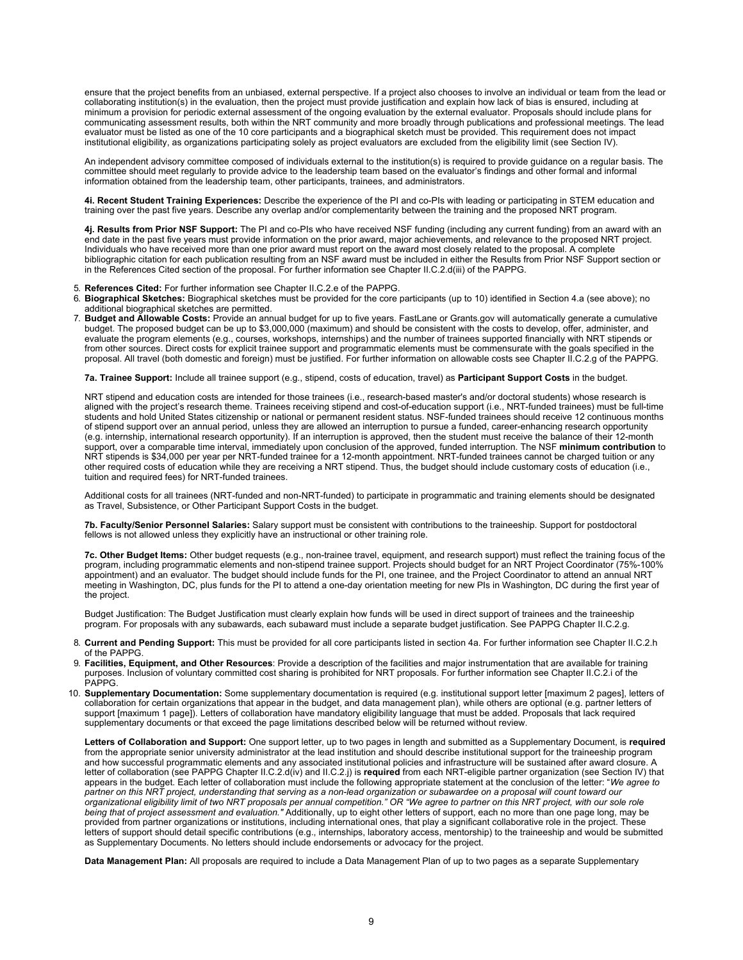ensure that the project benefits from an unbiased, external perspective. If a project also chooses to involve an individual or team from the lead or collaborating institution(s) in the evaluation, then the project must provide justification and explain how lack of bias is ensured, including at minimum a provision for periodic external assessment of the ongoing evaluation by the external evaluator. Proposals should include plans for communicating assessment results, both within the NRT community and more broadly through publications and professional meetings. The lead evaluator must be listed as one of the 10 core participants and a biographical sketch must be provided. This requirement does not impact institutional eligibility, as organizations participating solely as project evaluators are excluded from the eligibility limit (see Section IV).

An independent advisory committee composed of individuals external to the institution(s) is required to provide guidance on a regular basis. The committee should meet regularly to provide advice to the leadership team based on the evaluator's findings and other formal and informal information obtained from the leadership team, other participants, trainees, and administrators.

**4i. Recent Student Training Experiences:** Describe the experience of the PI and co-PIs with leading or participating in STEM education and training over the past five years. Describe any overlap and/or complementarity between the training and the proposed NRT program.

**4j. Results from Prior NSF Support:** The PI and co-PIs who have received NSF funding (including any current funding) from an award with an end date in the past five years must provide information on the prior award, major achievements, and relevance to the proposed NRT project. Individuals who have received more than one prior award must report on the award most closely related to the proposal. A complete bibliographic citation for each publication resulting from an NSF award must be included in either the Results from Prior NSF Support section or in the References Cited section of the proposal. For further information see Chapter II.C.2.d(iii) of the PAPPG.

- 5. **References Cited:** For further information see Chapter II.C.2.e of the PAPPG.<br>6. **Biographical Sketches:** Biographical sketches must be provided for the core i
- 6. **Biographical Sketches:** Biographical sketches must be provided for the core participants (up to 10) identified in Section 4.a (see above); no additional biographical sketches are permitted.
- 7. **Budget and Allowable Costs:** Provide an annual budget for up to five years. FastLane or Grants.gov will automatically generate a cumulative budget. The proposed budget can be up to \$3,000,000 (maximum) and should be consistent with the costs to develop, offer, administer, and evaluate the program elements (e.g., courses, workshops, internships) and the number of trainees supported financially with NRT stipends or from other sources. Direct costs for explicit trainee support and programmatic elements must be commensurate with the goals specified in the proposal. All travel (both domestic and foreign) must be justified. For further information on allowable costs see Chapter II.C.2.g of the PAPPG.

**7a. Trainee Support:** Include all trainee support (e.g., stipend, costs of education, travel) as **Participant Support Costs** in the budget.

NRT stipend and education costs are intended for those trainees (i.e., research-based master's and/or doctoral students) whose research is aligned with the project's research theme. Trainees receiving stipend and cost-of-education support (i.e., NRT-funded trainees) must be full-time students and hold United States citizenship or national or permanent resident status. NSF-funded trainees should receive 12 continuous months of stipend support over an annual period, unless they are allowed an interruption to pursue a funded, career-enhancing research opportunity (e.g. internship, international research opportunity). If an interruption is approved, then the student must receive the balance of their 12-month support, over a comparable time interval, immediately upon conclusion of the approved, funded interruption. The NSF **minimum contribution** to NRT stipends is \$34,000 per year per NRT-funded trainee for a 12-month appointment. NRT-funded trainees cannot be charged tuition or any other required costs of education while they are receiving a NRT stipend. Thus, the budget should include customary costs of education (i.e., tuition and required fees) for NRT-funded trainees.

Additional costs for all trainees (NRT-funded and non-NRT-funded) to participate in programmatic and training elements should be designated as Travel, Subsistence, or Other Participant Support Costs in the budget.

**7b. Faculty/Senior Personnel Salaries:** Salary support must be consistent with contributions to the traineeship. Support for postdoctoral fellows is not allowed unless they explicitly have an instructional or other training role.

**7c. Other Budget Items:** Other budget requests (e.g., non-trainee travel, equipment, and research support) must reflect the training focus of the program, including programmatic elements and non-stipend trainee support. Projects should budget for an NRT Project Coordinator (75%-100% appointment) and an evaluator. The budget should include funds for the PI, one trainee, and the Project Coordinator to attend an annual NRT meeting in Washington, DC, plus funds for the PI to attend a one-day orientation meeting for new PIs in Washington, DC during the first year of the project.

Budget Justification: The Budget Justification must clearly explain how funds will be used in direct support of trainees and the traineeship program. For proposals with any subawards, each subaward must include a separate budget justification. See PAPPG Chapter II.C.2.g.

- 8. **Current and Pending Support:** This must be provided for all core participants listed in section 4a. For further information see Chapter II.C.2.h of the PAPPG.
- 9. **Facilities, Equipment, and Other Resources**: Provide a description of the facilities and major instrumentation that are available for training purposes. Inclusion of voluntary committed cost sharing is prohibited for NRT proposals. For further information see Chapter II.C.2.i of the PAPPG.
- 10. **Supplementary Documentation:** Some supplementary documentation is required (e.g. institutional support letter [maximum 2 pages], letters of collaboration for certain organizations that appear in the budget, and data management plan), while others are optional (e.g. partner letters of support [maximum 1 page]). Letters of collaboration have mandatory eligibility language that must be added. Proposals that lack required supplementary documents or that exceed the page limitations described below will be returned without review.

**Letters of Collaboration and Support:** One support letter, up to two pages in length and submitted as a Supplementary Document, is **required** from the appropriate senior university administrator at the lead institution and should describe institutional support for the traineeship program and how successful programmatic elements and any associated institutional policies and infrastructure will be sustained after award closure. A letter of collaboration (see PAPPG Chapter II.C.2.d(iv) and II.C.2.j) is **required** from each NRT-eligible partner organization (see Section IV) that appears in the budget. Each letter of collaboration must include the following appropriate statement at the conclusion of the letter: "*We agree to partner on this NRT project, understanding that serving as a non-lead organization or subawardee on a proposal will count toward our organizational eligibility limit of two NRT proposals per annual competition." OR "We agree to partner on this NRT project, with our sole role being that of project assessment and evaluation."* Additionally, up to eight other letters of support, each no more than one page long, may be provided from partner organizations or institutions, including international ones, that play a significant collaborative role in the project. These letters of support should detail specific contributions (e.g., internships, laboratory access, mentorship) to the traineeship and would be submitted as Supplementary Documents. No letters should include endorsements or advocacy for the project.

**Data Management Plan:** All proposals are required to include a Data Management Plan of up to two pages as a separate Supplementary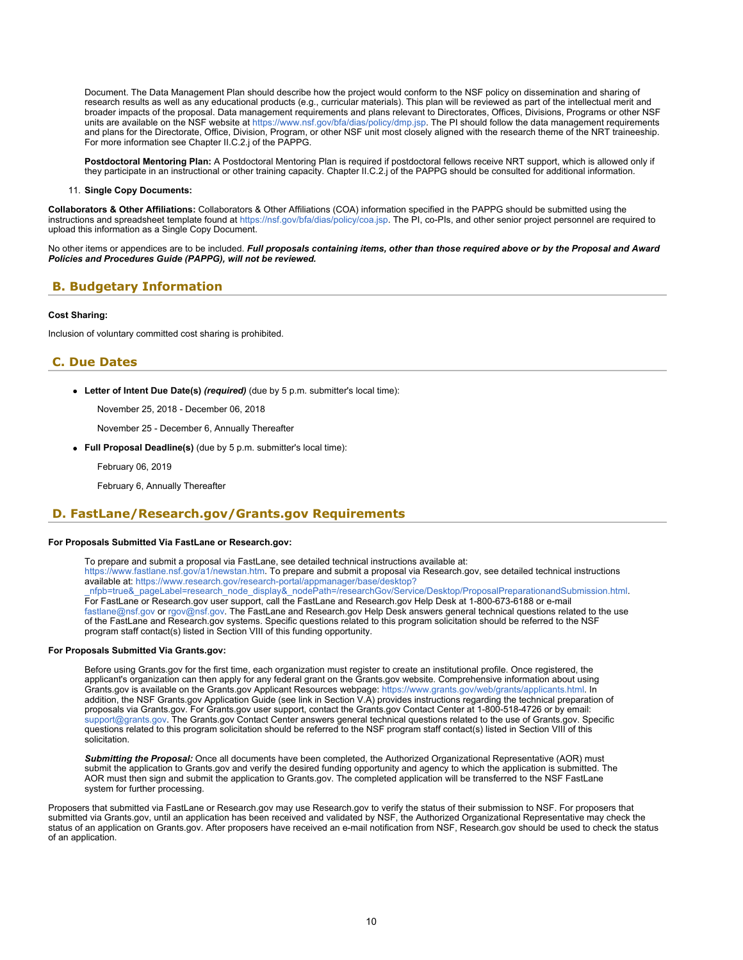Document. The Data Management Plan should describe how the project would conform to the NSF policy on dissemination and sharing of research results as well as any educational products (e.g., curricular materials). This plan will be reviewed as part of the intellectual merit and broader impacts of the proposal. Data management requirements and plans relevant to Directorates, Offices, Divisions, Programs or other NSF units are available on the NSF website at<https://www.nsf.gov/bfa/dias/policy/dmp.jsp>. The PI should follow the data management requirements and plans for the Directorate, Office, Division, Program, or other NSF unit most closely aligned with the research theme of the NRT traineeship. For more information see Chapter II.C.2.j of the PAPPG.

**Postdoctoral Mentoring Plan:** A Postdoctoral Mentoring Plan is required if postdoctoral fellows receive NRT support, which is allowed only if they participate in an instructional or other training capacity. Chapter II.C.2.j of the PAPPG should be consulted for additional information.

11. **Single Copy Documents:**

**Collaborators & Other Affiliations:** Collaborators & Other Affiliations (COA) information specified in the PAPPG should be submitted using the instructions and spreadsheet template found at<https://nsf.gov/bfa/dias/policy/coa.jsp>. The PI, co-PIs, and other senior project personnel are required to upload this information as a Single Copy Document.

No other items or appendices are to be included. *Full proposals containing items, other than those required above or by the Proposal and Award Policies and Procedures Guide (PAPPG), will not be reviewed.*

## <span id="page-9-0"></span>**B. Budgetary Information**

### **Cost Sharing:**

Inclusion of voluntary committed cost sharing is prohibited.

## <span id="page-9-1"></span>**C. Due Dates**

**Letter of Intent Due Date(s)** *(required)* (due by 5 p.m. submitter's local time):

November 25, 2018 - December 06, 2018

November 25 - December 6, Annually Thereafter

**Full Proposal Deadline(s)** (due by 5 p.m. submitter's local time):

February 06, 2019

February 6, Annually Thereafter

## <span id="page-9-2"></span>**D. FastLane/Research.gov/Grants.gov Requirements**

### **For Proposals Submitted Via FastLane or Research.gov:**

To prepare and submit a proposal via FastLane, see detailed technical instructions available at:

<https://www.fastlane.nsf.gov/a1/newstan.htm>. To prepare and submit a proposal via Research.gov, see detailed technical instructions available at: [https://www.research.gov/research-portal/appmanager/base/desktop?](https://www.research.gov/research-portal/appmanager/base/desktop?_nfpb=true&_pageLabel=research_node_display&_nodePath=/researchGov/Service/Desktop/ProposalPreparationandSubmission.html)

[\\_nfpb=true&\\_pageLabel=research\\_node\\_display&\\_nodePath=/researchGov/Service/Desktop/ProposalPreparationandSubmission.html](https://www.research.gov/research-portal/appmanager/base/desktop?_nfpb=true&_pageLabel=research_node_display&_nodePath=/researchGov/Service/Desktop/ProposalPreparationandSubmission.html). For FastLane or Research.gov user support, call the FastLane and Research.gov Help Desk at 1-800-673-6188 or e-mail [fastlane@nsf.gov](mailto:fastlane@nsf.gov) or [rgov@nsf.gov](mailto:rgov@nsf.gov). The FastLane and Research.gov Help Desk answers general technical questions related to the use of the FastLane and Research.gov systems. Specific questions related to this program solicitation should be referred to the NSF program staff contact(s) listed in Section VIII of this funding opportunity.

### **For Proposals Submitted Via Grants.gov:**

Before using Grants.gov for the first time, each organization must register to create an institutional profile. Once registered, the applicant's organization can then apply for any federal grant on the Grants.gov website. Comprehensive information about using Grants.gov is available on the Grants.gov Applicant Resources webpage:<https://www.grants.gov/web/grants/applicants.html>. In addition, the NSF Grants.gov Application Guide (see link in Section V.A) provides instructions regarding the technical preparation of proposals via Grants.gov. For Grants.gov user support, contact the Grants.gov Contact Center at 1-800-518-4726 or by email: [support@grants.gov.](mailto:support@grants.gov) The Grants.gov Contact Center answers general technical questions related to the use of Grants.gov. Specific questions related to this program solicitation should be referred to the NSF program staff contact(s) listed in Section VIII of this solicitation.

*Submitting the Proposal:* Once all documents have been completed, the Authorized Organizational Representative (AOR) must submit the application to Grants.gov and verify the desired funding opportunity and agency to which the application is submitted. The AOR must then sign and submit the application to Grants.gov. The completed application will be transferred to the NSF FastLane system for further processing.

Proposers that submitted via FastLane or Research.gov may use Research.gov to verify the status of their submission to NSF. For proposers that submitted via Grants.gov, until an application has been received and validated by NSF, the Authorized Organizational Representative may check the status of an application on Grants.gov. After proposers have received an e-mail notification from NSF, Research.gov should be used to check the status of an application.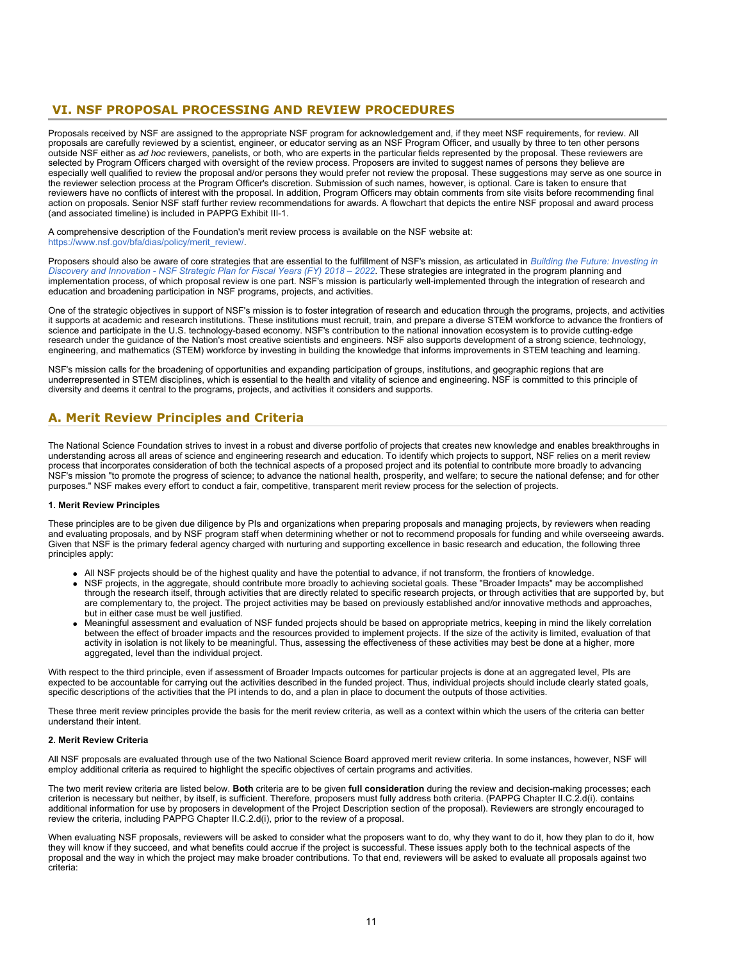## <span id="page-10-0"></span> **VI. NSF PROPOSAL PROCESSING AND REVIEW PROCEDURES**

Proposals received by NSF are assigned to the appropriate NSF program for acknowledgement and, if they meet NSF requirements, for review. All proposals are carefully reviewed by a scientist, engineer, or educator serving as an NSF Program Officer, and usually by three to ten other persons outside NSF either as *ad hoc* reviewers, panelists, or both, who are experts in the particular fields represented by the proposal. These reviewers are selected by Program Officers charged with oversight of the review process. Proposers are invited to suggest names of persons they believe are especially well qualified to review the proposal and/or persons they would prefer not review the proposal. These suggestions may serve as one source in the reviewer selection process at the Program Officer's discretion. Submission of such names, however, is optional. Care is taken to ensure that reviewers have no conflicts of interest with the proposal. In addition, Program Officers may obtain comments from site visits before recommending final action on proposals. Senior NSF staff further review recommendations for awards. A flowchart that depicts the entire NSF proposal and award process (and associated timeline) is included in PAPPG Exhibit III-1.

A comprehensive description of the Foundation's merit review process is available on the NSF website at: [https://www.nsf.gov/bfa/dias/policy/merit\\_review/](https://www.nsf.gov/bfa/dias/policy/merit_review/).

Proposers should also be aware of core strategies that are essential to the fulfillment of NSF's mission, as articulated in *[Building the Future: Investing in](https://www.nsf.gov/publications/pub_summ.jsp?ods_key=nsf18045) [Discovery and Innovation - NSF Strategic Plan for Fiscal Years \(FY\) 2018 – 2022](https://www.nsf.gov/publications/pub_summ.jsp?ods_key=nsf18045)*. These strategies are integrated in the program planning and implementation process, of which proposal review is one part. NSF's mission is particularly well-implemented through the integration of research and education and broadening participation in NSF programs, projects, and activities.

One of the strategic objectives in support of NSF's mission is to foster integration of research and education through the programs, projects, and activities it supports at academic and research institutions. These institutions must recruit, train, and prepare a diverse STEM workforce to advance the frontiers of science and participate in the U.S. technology-based economy. NSF's contribution to the national innovation ecosystem is to provide cutting-edge research under the guidance of the Nation's most creative scientists and engineers. NSF also supports development of a strong science, technology, engineering, and mathematics (STEM) workforce by investing in building the knowledge that informs improvements in STEM teaching and learning.

NSF's mission calls for the broadening of opportunities and expanding participation of groups, institutions, and geographic regions that are underrepresented in STEM disciplines, which is essential to the health and vitality of science and engineering. NSF is committed to this principle of diversity and deems it central to the programs, projects, and activities it considers and supports.

## <span id="page-10-1"></span>**A. Merit Review Principles and Criteria**

The National Science Foundation strives to invest in a robust and diverse portfolio of projects that creates new knowledge and enables breakthroughs in understanding across all areas of science and engineering research and education. To identify which projects to support, NSF relies on a merit review process that incorporates consideration of both the technical aspects of a proposed project and its potential to contribute more broadly to advancing NSF's mission "to promote the progress of science; to advance the national health, prosperity, and welfare; to secure the national defense; and for other purposes." NSF makes every effort to conduct a fair, competitive, transparent merit review process for the selection of projects.

### **1. Merit Review Principles**

These principles are to be given due diligence by PIs and organizations when preparing proposals and managing projects, by reviewers when reading and evaluating proposals, and by NSF program staff when determining whether or not to recommend proposals for funding and while overseeing awards. Given that NSF is the primary federal agency charged with nurturing and supporting excellence in basic research and education, the following three principles apply:

- All NSF projects should be of the highest quality and have the potential to advance, if not transform, the frontiers of knowledge.
- NSF projects, in the aggregate, should contribute more broadly to achieving societal goals. These "Broader Impacts" may be accomplished through the research itself, through activities that are directly related to specific research projects, or through activities that are supported by, but are complementary to, the project. The project activities may be based on previously established and/or innovative methods and approaches, but in either case must be well justified.
- Meaningful assessment and evaluation of NSF funded projects should be based on appropriate metrics, keeping in mind the likely correlation between the effect of broader impacts and the resources provided to implement projects. If the size of the activity is limited, evaluation of that activity in isolation is not likely to be meaningful. Thus, assessing the effectiveness of these activities may best be done at a higher, more aggregated, level than the individual project.

With respect to the third principle, even if assessment of Broader Impacts outcomes for particular projects is done at an aggregated level, PIs are expected to be accountable for carrying out the activities described in the funded project. Thus, individual projects should include clearly stated goals, specific descriptions of the activities that the PI intends to do, and a plan in place to document the outputs of those activities.

These three merit review principles provide the basis for the merit review criteria, as well as a context within which the users of the criteria can better understand their intent.

### **2. Merit Review Criteria**

All NSF proposals are evaluated through use of the two National Science Board approved merit review criteria. In some instances, however, NSF will employ additional criteria as required to highlight the specific objectives of certain programs and activities.

The two merit review criteria are listed below. **Both** criteria are to be given **full consideration** during the review and decision-making processes; each criterion is necessary but neither, by itself, is sufficient. Therefore, proposers must fully address both criteria. (PAPPG Chapter II.C.2.d(i). contains additional information for use by proposers in development of the Project Description section of the proposal). Reviewers are strongly encouraged to review the criteria, including PAPPG Chapter II.C.2.d(i), prior to the review of a proposal.

When evaluating NSF proposals, reviewers will be asked to consider what the proposers want to do, why they want to do it, how they plan to do it, how they will know if they succeed, and what benefits could accrue if the project is successful. These issues apply both to the technical aspects of the proposal and the way in which the project may make broader contributions. To that end, reviewers will be asked to evaluate all proposals against two criteria: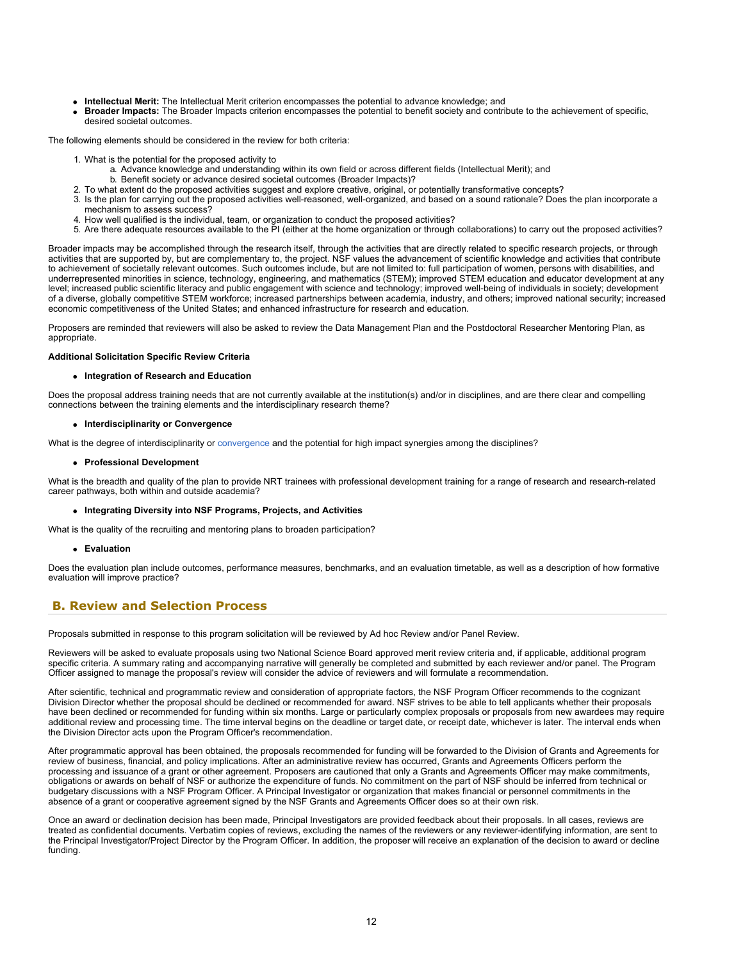- **Intellectual Merit:** The Intellectual Merit criterion encompasses the potential to advance knowledge; and
- **Broader Impacts:** The Broader Impacts criterion encompasses the potential to benefit society and contribute to the achievement of specific, desired societal outcomes.

The following elements should be considered in the review for both criteria:

- 1. What is the potential for the proposed activity to
	- a. Advance knowledge and understanding within its own field or across different fields (Intellectual Merit); and
	- b. Benefit society or advance desired societal outcomes (Broader Impacts)?
- 2. To what extent do the proposed activities suggest and explore creative, original, or potentially transformative concepts?
- 3. Is the plan for carrying out the proposed activities well-reasoned, well-organized, and based on a sound rationale? Does the plan incorporate a mechanism to assess success?
- 4. How well qualified is the individual, team, or organization to conduct the proposed activities?
- 5. Are there adequate resources available to the PI (either at the home organization or through collaborations) to carry out the proposed activities?

Broader impacts may be accomplished through the research itself, through the activities that are directly related to specific research projects, or through activities that are supported by, but are complementary to, the project. NSF values the advancement of scientific knowledge and activities that contribute to achievement of societally relevant outcomes. Such outcomes include, but are not limited to: full participation of women, persons with disabilities, and underrepresented minorities in science, technology, engineering, and mathematics (STEM); improved STEM education and educator development at any level; increased public scientific literacy and public engagement with science and technology; improved well-being of individuals in society; development of a diverse, globally competitive STEM workforce; increased partnerships between academia, industry, and others; improved national security; increased economic competitiveness of the United States; and enhanced infrastructure for research and education.

Proposers are reminded that reviewers will also be asked to review the Data Management Plan and the Postdoctoral Researcher Mentoring Plan, as appropriate.

#### **Additional Solicitation Specific Review Criteria**

#### **Integration of Research and Education**

Does the proposal address training needs that are not currently available at the institution(s) and/or in disciplines, and are there clear and compelling connections between the training elements and the interdisciplinary research theme?

### **Interdisciplinarity or Convergence**

What is the degree of interdisciplinarity or [convergence](https://www.nsf.gov/od/oia/convergence/index.jsp) and the potential for high impact synergies among the disciplines?

#### **Professional Development**

What is the breadth and quality of the plan to provide NRT trainees with professional development training for a range of research and research-related career pathways, both within and outside academia?

#### **Integrating Diversity into NSF Programs, Projects, and Activities**

What is the quality of the recruiting and mentoring plans to broaden participation?

#### **Evaluation**

Does the evaluation plan include outcomes, performance measures, benchmarks, and an evaluation timetable, as well as a description of how formative evaluation will improve practice?

### <span id="page-11-0"></span>**B. Review and Selection Process**

Proposals submitted in response to this program solicitation will be reviewed by Ad hoc Review and/or Panel Review.

Reviewers will be asked to evaluate proposals using two National Science Board approved merit review criteria and, if applicable, additional program specific criteria. A summary rating and accompanying narrative will generally be completed and submitted by each reviewer and/or panel. The Program Officer assigned to manage the proposal's review will consider the advice of reviewers and will formulate a recommendation.

After scientific, technical and programmatic review and consideration of appropriate factors, the NSF Program Officer recommends to the cognizant Division Director whether the proposal should be declined or recommended for award. NSF strives to be able to tell applicants whether their proposals have been declined or recommended for funding within six months. Large or particularly complex proposals or proposals from new awardees may require additional review and processing time. The time interval begins on the deadline or target date, or receipt date, whichever is later. The interval ends when the Division Director acts upon the Program Officer's recommendation.

After programmatic approval has been obtained, the proposals recommended for funding will be forwarded to the Division of Grants and Agreements for review of business, financial, and policy implications. After an administrative review has occurred, Grants and Agreements Officers perform the processing and issuance of a grant or other agreement. Proposers are cautioned that only a Grants and Agreements Officer may make commitments, obligations or awards on behalf of NSF or authorize the expenditure of funds. No commitment on the part of NSF should be inferred from technical or budgetary discussions with a NSF Program Officer. A Principal Investigator or organization that makes financial or personnel commitments in the absence of a grant or cooperative agreement signed by the NSF Grants and Agreements Officer does so at their own risk.

Once an award or declination decision has been made, Principal Investigators are provided feedback about their proposals. In all cases, reviews are treated as confidential documents. Verbatim copies of reviews, excluding the names of the reviewers or any reviewer-identifying information, are sent to the Principal Investigator/Project Director by the Program Officer. In addition, the proposer will receive an explanation of the decision to award or decline funding.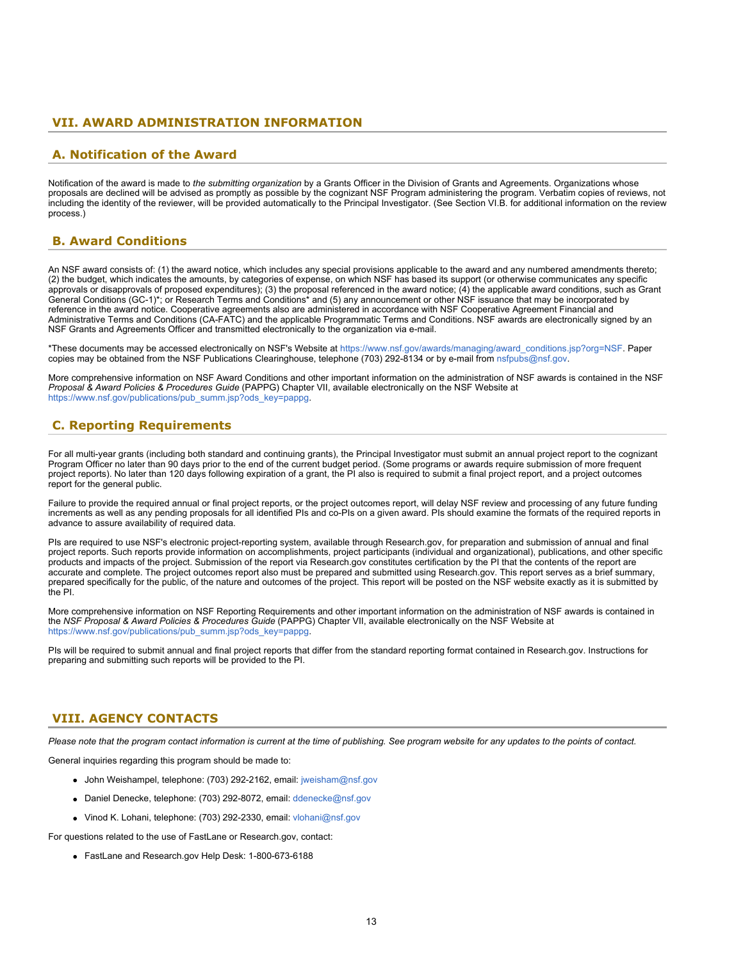### <span id="page-12-0"></span>**VII. AWARD ADMINISTRATION INFORMATION**

### <span id="page-12-1"></span>**A. Notification of the Award**

Notification of the award is made to the submitting organization by a Grants Officer in the Division of Grants and Agreements. Organizations whose proposals are declined will be advised as promptly as possible by the cognizant NSF Program administering the program. Verbatim copies of reviews, not including the identity of the reviewer, will be provided automatically to the Principal Investigator. (See Section VI.B. for additional information on the review process.)

## <span id="page-12-2"></span>**B. Award Conditions**

An NSF award consists of: (1) the award notice, which includes any special provisions applicable to the award and any numbered amendments thereto; (2) the budget, which indicates the amounts, by categories of expense, on which NSF has based its support (or otherwise communicates any specific approvals or disapprovals of proposed expenditures); (3) the proposal referenced in the award notice; (4) the applicable award conditions, such as Grant General Conditions (GC-1)\*; or Research Terms and Conditions\* and (5) any announcement or other NSF issuance that may be incorporated by reference in the award notice. Cooperative agreements also are administered in accordance with NSF Cooperative Agreement Financial and Administrative Terms and Conditions (CA-FATC) and the applicable Programmatic Terms and Conditions. NSF awards are electronically signed by an NSF Grants and Agreements Officer and transmitted electronically to the organization via e-mail.

\*These documents may be accessed electronically on NSF's Website at [https://www.nsf.gov/awards/managing/award\\_conditions.jsp?org=NSF](https://www.nsf.gov/awards/managing/award_conditions.jsp?org=NSF). Paper copies may be obtained from the NSF Publications Clearinghouse, telephone (703) 292-8134 or by e-mail from [nsfpubs@nsf.gov.](mailto:nsfpubs@nsf.gov)

More comprehensive information on NSF Award Conditions and other important information on the administration of NSF awards is contained in the NSF *Proposal & Award Policies & Procedures Guide* (PAPPG) Chapter VII, available electronically on the NSF Website at [https://www.nsf.gov/publications/pub\\_summ.jsp?ods\\_key=pappg.](https://www.nsf.gov/publications/pub_summ.jsp?ods_key=pappg)

## <span id="page-12-3"></span>**C. Reporting Requirements**

For all multi-year grants (including both standard and continuing grants), the Principal Investigator must submit an annual project report to the cognizant Program Officer no later than 90 days prior to the end of the current budget period. (Some programs or awards require submission of more frequent project reports). No later than 120 days following expiration of a grant, the PI also is required to submit a final project report, and a project outcomes report for the general public.

Failure to provide the required annual or final project reports, or the project outcomes report, will delay NSF review and processing of any future funding increments as well as any pending proposals for all identified PIs and co-PIs on a given award. PIs should examine the formats of the required reports in advance to assure availability of required data.

PIs are required to use NSF's electronic project-reporting system, available through Research.gov, for preparation and submission of annual and final project reports. Such reports provide information on accomplishments, project participants (individual and organizational), publications, and other specific products and impacts of the project. Submission of the report via Research.gov constitutes certification by the PI that the contents of the report are accurate and complete. The project outcomes report also must be prepared and submitted using Research.gov. This report serves as a brief summary, prepared specifically for the public, of the nature and outcomes of the project. This report will be posted on the NSF website exactly as it is submitted by the PI.

More comprehensive information on NSF Reporting Requirements and other important information on the administration of NSF awards is contained in the *NSF Proposal & Award Policies & Procedures Guide* (PAPPG) Chapter VII, available electronically on the NSF Website at [https://www.nsf.gov/publications/pub\\_summ.jsp?ods\\_key=pappg.](https://www.nsf.gov/publications/pub_summ.jsp?ods_key=pappg)

PIs will be required to submit annual and final project reports that differ from the standard reporting format contained in Research.gov. Instructions for preparing and submitting such reports will be provided to the PI.

### <span id="page-12-4"></span>**VIII. AGENCY CONTACTS**

*Please note that the program contact information is current at the time of publishing. See program website for any updates to the points of contact.*

General inquiries regarding this program should be made to:

- John Weishampel, telephone: (703) 292-2162, email: [jweisham@nsf.gov](mailto:jweisham@nsf.gov)
- Daniel Denecke, telephone: (703) 292-8072, email: [ddenecke@nsf.gov](mailto:ddenecke@nsf.gov)
- Vinod K. Lohani, telephone: (703) 292-2330, email: [vlohani@nsf.gov](mailto:vlohani@nsf.gov)

For questions related to the use of FastLane or Research.gov, contact:

FastLane and Research.gov Help Desk: 1-800-673-6188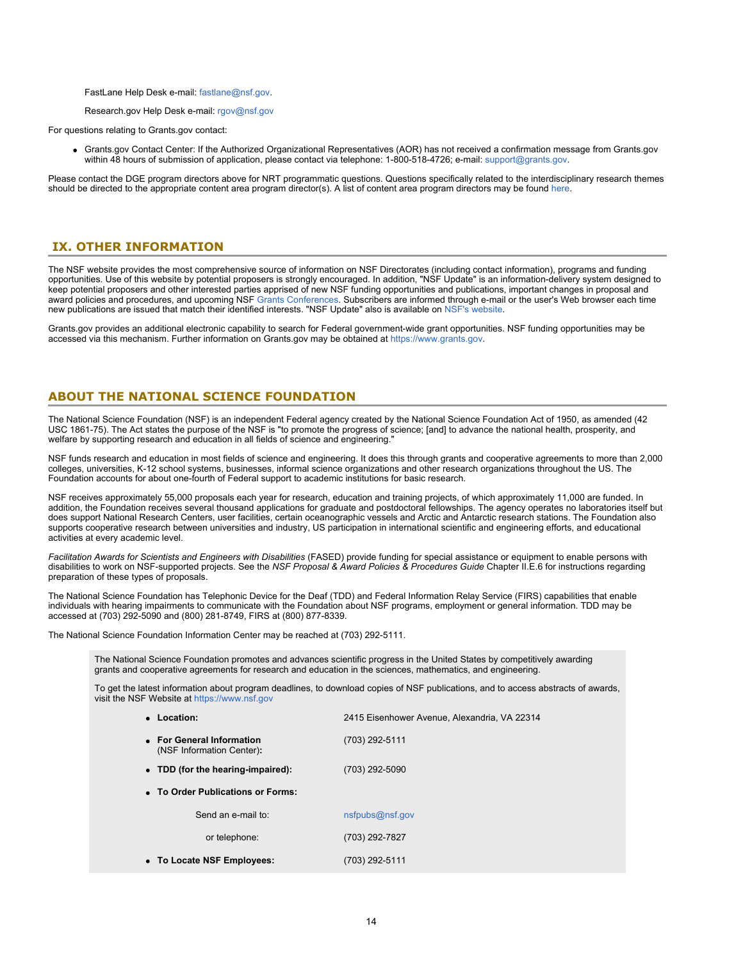FastLane Help Desk e-mail: [fastlane@nsf.gov](mailto:fastlane@nsf.gov).

### Research.gov Help Desk e-mail: [rgov@nsf.gov](mailto:rgov@nsf.gov)

For questions relating to Grants.gov contact:

Grants.gov Contact Center: If the Authorized Organizational Representatives (AOR) has not received a confirmation message from Grants.gov within 48 hours of submission of application, please contact via telephone: 1-800-518-4726; e-mail: [support@grants.gov.](mailto:support@grants.gov)

Please contact the DGE program directors above for NRT programmatic questions. Questions specifically related to the interdisciplinary research themes should be directed to the appropriate content area program director(s). A list of content area program directors may be found [here.](https://www.nsf.gov/ehr/Materials/NRTContacts.pdf)

## <span id="page-13-0"></span>**IX. OTHER INFORMATION**

The NSF website provides the most comprehensive source of information on NSF Directorates (including contact information), programs and funding opportunities. Use of this website by potential proposers is strongly encouraged. In addition, "NSF Update" is an information-delivery system designed to keep potential proposers and other interested parties apprised of new NSF funding opportunities and publications, important changes in proposal and award policies and procedures, and upcoming NSF [Grants Conferences](https://www.nsf.gov/bfa/dias/policy/outreach.jsp). Subscribers are informed through e-mail or the user's Web browser each time new publications are issued that match their identified interests. "NSF Update" also is available on [NSF's website](https://www.nsf.gov/cgi-bin/goodbye?https://public.govdelivery.com/accounts/USNSF/subscriber/new?topic_id=USNSF_179).

Grants.gov provides an additional electronic capability to search for Federal government-wide grant opportunities. NSF funding opportunities may be accessed via this mechanism. Further information on Grants.gov may be obtained at [https://www.grants.gov.](https://www.grants.gov/)

## **ABOUT THE NATIONAL SCIENCE FOUNDATION**

The National Science Foundation (NSF) is an independent Federal agency created by the National Science Foundation Act of 1950, as amended (42 USC 1861-75). The Act states the purpose of the NSF is "to promote the progress of science; [and] to advance the national health, prosperity, and welfare by supporting research and education in all fields of science and engineering."

NSF funds research and education in most fields of science and engineering. It does this through grants and cooperative agreements to more than 2,000 colleges, universities, K-12 school systems, businesses, informal science organizations and other research organizations throughout the US. The Foundation accounts for about one-fourth of Federal support to academic institutions for basic research.

NSF receives approximately 55,000 proposals each year for research, education and training projects, of which approximately 11,000 are funded. In addition, the Foundation receives several thousand applications for graduate and postdoctoral fellowships. The agency operates no laboratories itself but does support National Research Centers, user facilities, certain oceanographic vessels and Arctic and Antarctic research stations. The Foundation also supports cooperative research between universities and industry, US participation in international scientific and engineering efforts, and educational activities at every academic level.

*Facilitation Awards for Scientists and Engineers with Disabilities* (FASED) provide funding for special assistance or equipment to enable persons with disabilities to work on NSF-supported projects. See the *NSF Proposal & Award Policies & Procedures Guide* Chapter II.E.6 for instructions regarding preparation of these types of proposals.

The National Science Foundation has Telephonic Device for the Deaf (TDD) and Federal Information Relay Service (FIRS) capabilities that enable individuals with hearing impairments to communicate with the Foundation about NSF programs, employment or general information. TDD may be accessed at (703) 292-5090 and (800) 281-8749, FIRS at (800) 877-8339.

The National Science Foundation Information Center may be reached at (703) 292-5111.

The National Science Foundation promotes and advances scientific progress in the United States by competitively awarding grants and cooperative agreements for research and education in the sciences, mathematics, and engineering.

To get the latest information about program deadlines, to download copies of NSF publications, and to access abstracts of awards, visit the NSF Website at [https://www.nsf.gov](https://www.nsf.gov/)

| • Location:                                            | 2415 Eisenhower Avenue, Alexandria, VA 22314 |  |  |  |  |  |
|--------------------------------------------------------|----------------------------------------------|--|--|--|--|--|
| • For General Information<br>(NSF Information Center): | (703) 292-5111                               |  |  |  |  |  |
| • TDD (for the hearing-impaired):                      | (703) 292-5090                               |  |  |  |  |  |
| • To Order Publications or Forms:                      |                                              |  |  |  |  |  |
| Send an e-mail to:                                     | nsfpubs@nsf.gov                              |  |  |  |  |  |
| or telephone:                                          | (703) 292-7827                               |  |  |  |  |  |
| • To Locate NSF Employees:                             | (703) 292-5111                               |  |  |  |  |  |